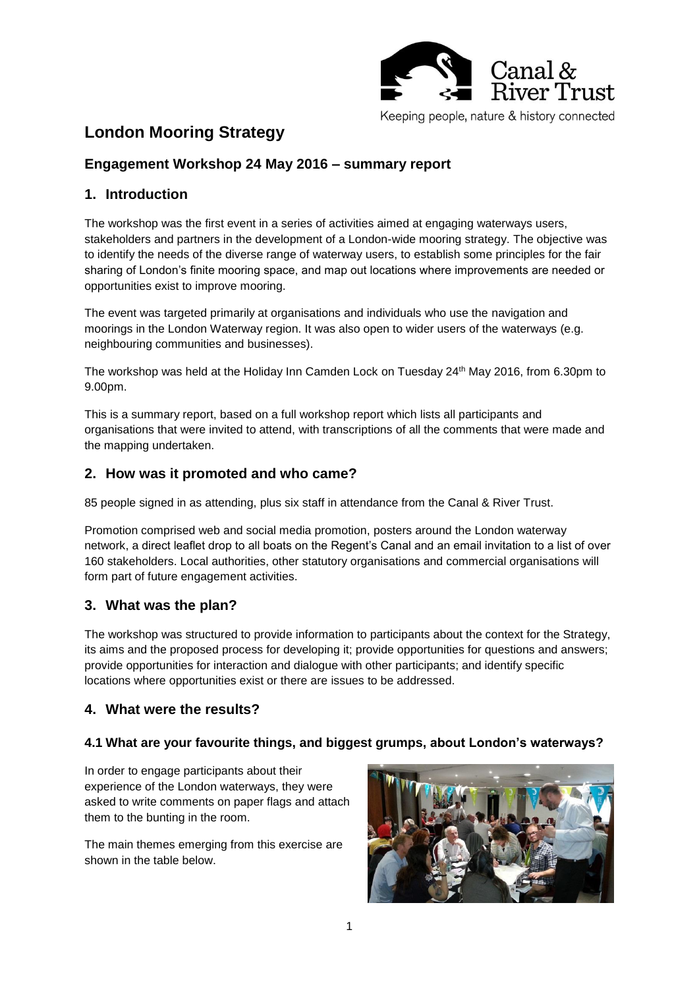

# **London Mooring Strategy**

# **Engagement Workshop 24 May 2016 – summary report**

## **1. Introduction**

The workshop was the first event in a series of activities aimed at engaging waterways users, stakeholders and partners in the development of a London-wide mooring strategy. The objective was to identify the needs of the diverse range of waterway users, to establish some principles for the fair sharing of London's finite mooring space, and map out locations where improvements are needed or opportunities exist to improve mooring.

The event was targeted primarily at organisations and individuals who use the navigation and moorings in the London Waterway region. It was also open to wider users of the waterways (e.g. neighbouring communities and businesses).

The workshop was held at the Holiday Inn Camden Lock on Tuesday 24th May 2016, from 6.30pm to 9.00pm.

This is a summary report, based on a full workshop report which lists all participants and organisations that were invited to attend, with transcriptions of all the comments that were made and the mapping undertaken.

#### **2. How was it promoted and who came?**

85 people signed in as attending, plus six staff in attendance from the Canal & River Trust.

Promotion comprised web and social media promotion, posters around the London waterway network, a direct leaflet drop to all boats on the Regent's Canal and an email invitation to a list of over 160 stakeholders. Local authorities, other statutory organisations and commercial organisations will form part of future engagement activities.

#### **3. What was the plan?**

The workshop was structured to provide information to participants about the context for the Strategy, its aims and the proposed process for developing it; provide opportunities for questions and answers; provide opportunities for interaction and dialogue with other participants; and identify specific locations where opportunities exist or there are issues to be addressed.

#### **4. What were the results?**

#### **4.1 What are your favourite things, and biggest grumps, about London's waterways?**

In order to engage participants about their experience of the London waterways, they were asked to write comments on paper flags and attach them to the bunting in the room.

The main themes emerging from this exercise are shown in the table below.

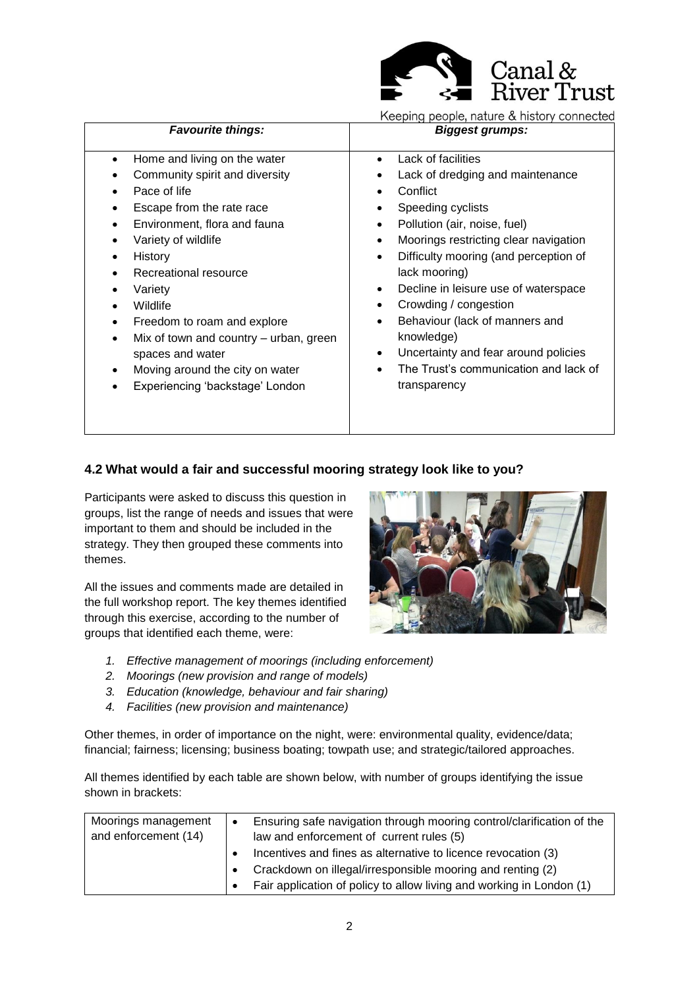

Keeping people, nature & history connected

| <b>Favourite things:</b>                                                                                                                                                                                                                                                                                                                                                                                                                                                                                                                                               | <b>Biggest grumps:</b>                                                                                                                                                                                                                                                                                                                                                                                                                                                                                                          |
|------------------------------------------------------------------------------------------------------------------------------------------------------------------------------------------------------------------------------------------------------------------------------------------------------------------------------------------------------------------------------------------------------------------------------------------------------------------------------------------------------------------------------------------------------------------------|---------------------------------------------------------------------------------------------------------------------------------------------------------------------------------------------------------------------------------------------------------------------------------------------------------------------------------------------------------------------------------------------------------------------------------------------------------------------------------------------------------------------------------|
| Home and living on the water<br>$\bullet$<br>Community spirit and diversity<br>$\bullet$<br>Pace of life<br>$\bullet$<br>Escape from the rate race<br>$\bullet$<br>Environment, flora and fauna<br>$\bullet$<br>Variety of wildlife<br>$\bullet$<br>History<br>٠<br>Recreational resource<br>$\bullet$<br>Variety<br>٠<br>Wildlife<br>$\bullet$<br>Freedom to roam and explore<br>$\bullet$<br>Mix of town and country – urban, green<br>$\bullet$<br>spaces and water<br>Moving around the city on water<br>$\bullet$<br>Experiencing 'backstage' London<br>$\bullet$ | Lack of facilities<br>Lack of dredging and maintenance<br>Conflict<br>Speeding cyclists<br>Pollution (air, noise, fuel)<br>$\bullet$<br>Moorings restricting clear navigation<br>$\bullet$<br>Difficulty mooring (and perception of<br>$\bullet$<br>lack mooring)<br>Decline in leisure use of waterspace<br>$\bullet$<br>Crowding / congestion<br>Behaviour (lack of manners and<br>$\bullet$<br>knowledge)<br>Uncertainty and fear around policies<br>$\bullet$<br>The Trust's communication and lack of<br>٠<br>transparency |

#### **4.2 What would a fair and successful mooring strategy look like to you?**

Participants were asked to discuss this question in groups, list the range of needs and issues that were important to them and should be included in the strategy. They then grouped these comments into themes.

All the issues and comments made are detailed in the full workshop report. The key themes identified through this exercise, according to the number of groups that identified each theme, were:



- *1. Effective management of moorings (including enforcement)*
- *2. Moorings (new provision and range of models)*
- *3. Education (knowledge, behaviour and fair sharing)*
- *4. Facilities (new provision and maintenance)*

Other themes, in order of importance on the night, were: environmental quality, evidence/data; financial; fairness; licensing; business boating; towpath use; and strategic/tailored approaches.

All themes identified by each table are shown below, with number of groups identifying the issue shown in brackets:

| Moorings management  | $\bullet$ | Ensuring safe navigation through mooring control/clarification of the |
|----------------------|-----------|-----------------------------------------------------------------------|
| and enforcement (14) |           | law and enforcement of current rules (5)                              |
|                      |           | Incentives and fines as alternative to licence revocation (3)         |
|                      |           | Crackdown on illegal/irresponsible mooring and renting (2)            |
|                      |           | Fair application of policy to allow living and working in London (1)  |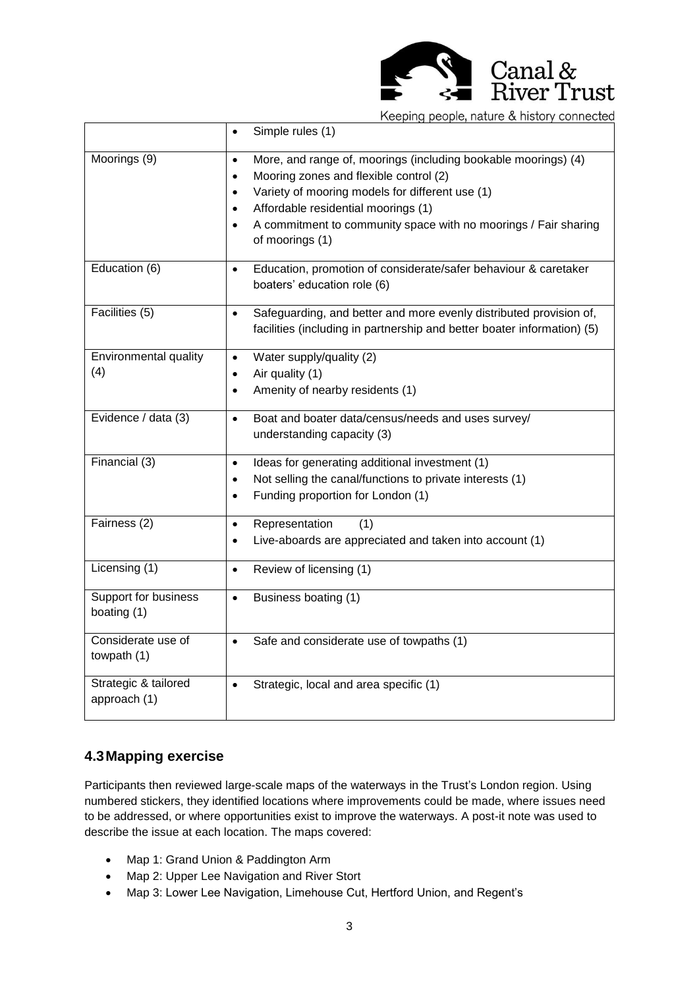

Keeping people, nature & history connected

|                                     | Simple rules (1)<br>$\bullet$                                                                                                                                                                                                                                                                                                                             |
|-------------------------------------|-----------------------------------------------------------------------------------------------------------------------------------------------------------------------------------------------------------------------------------------------------------------------------------------------------------------------------------------------------------|
| Moorings (9)                        | More, and range of, moorings (including bookable moorings) (4)<br>$\bullet$<br>Mooring zones and flexible control (2)<br>$\bullet$<br>Variety of mooring models for different use (1)<br>$\bullet$<br>Affordable residential moorings (1)<br>$\bullet$<br>A commitment to community space with no moorings / Fair sharing<br>$\bullet$<br>of moorings (1) |
| Education (6)                       | Education, promotion of considerate/safer behaviour & caretaker<br>$\bullet$<br>boaters' education role (6)                                                                                                                                                                                                                                               |
| Facilities (5)                      | Safeguarding, and better and more evenly distributed provision of,<br>$\bullet$<br>facilities (including in partnership and better boater information) (5)                                                                                                                                                                                                |
| Environmental quality               | Water supply/quality (2)<br>$\bullet$                                                                                                                                                                                                                                                                                                                     |
| (4)                                 | Air quality (1)<br>٠                                                                                                                                                                                                                                                                                                                                      |
|                                     | Amenity of nearby residents (1)<br>$\bullet$                                                                                                                                                                                                                                                                                                              |
| Evidence / data (3)                 | Boat and boater data/census/needs and uses survey/<br>$\bullet$                                                                                                                                                                                                                                                                                           |
|                                     | understanding capacity (3)                                                                                                                                                                                                                                                                                                                                |
| Financial (3)                       | Ideas for generating additional investment (1)<br>$\bullet$                                                                                                                                                                                                                                                                                               |
|                                     | Not selling the canal/functions to private interests (1)<br>$\bullet$                                                                                                                                                                                                                                                                                     |
|                                     | Funding proportion for London (1)<br>$\bullet$                                                                                                                                                                                                                                                                                                            |
| Fairness (2)                        | Representation<br>(1)<br>$\bullet$                                                                                                                                                                                                                                                                                                                        |
|                                     | Live-aboards are appreciated and taken into account (1)<br>$\bullet$                                                                                                                                                                                                                                                                                      |
| Licensing (1)                       | Review of licensing (1)<br>$\bullet$                                                                                                                                                                                                                                                                                                                      |
| Support for business<br>boating (1) | Business boating (1)<br>$\bullet$                                                                                                                                                                                                                                                                                                                         |
| Considerate use of                  | Safe and considerate use of towpaths (1)<br>$\bullet$                                                                                                                                                                                                                                                                                                     |
| towpath (1)                         |                                                                                                                                                                                                                                                                                                                                                           |
| Strategic & tailored                | Strategic, local and area specific (1)<br>$\bullet$                                                                                                                                                                                                                                                                                                       |
| approach (1)                        |                                                                                                                                                                                                                                                                                                                                                           |

#### **4.3Mapping exercise**

Participants then reviewed large-scale maps of the waterways in the Trust's London region. Using numbered stickers, they identified locations where improvements could be made, where issues need to be addressed, or where opportunities exist to improve the waterways. A post-it note was used to describe the issue at each location. The maps covered:

- Map 1: Grand Union & Paddington Arm
- Map 2: Upper Lee Navigation and River Stort
- Map 3: Lower Lee Navigation, Limehouse Cut, Hertford Union, and Regent's